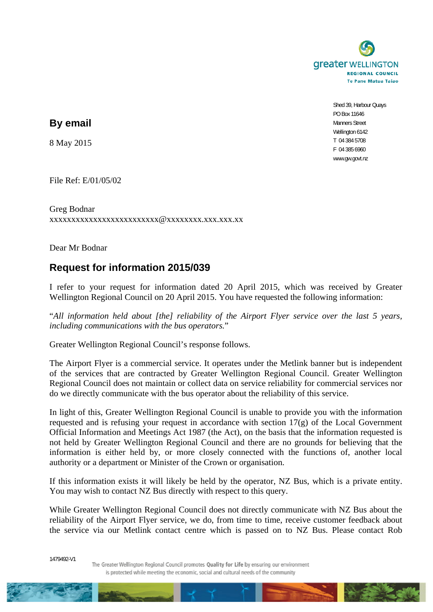

Shed 39, Harbour Quays PO Box 11646 Manners Street Wellington 6142 T 04 384 5708 F 04 385 6960 www.gw.govt.nz

**By email** 

8 May 2015

File Ref: E/01/05/02

Greg Bodnar xxxxxxxxxxxxxxxxxxxxxxxxx@xxxxxxxx.xxx.xxx.xx

Dear Mr Bodnar

## **Request for information 2015/039**

I refer to your request for information dated 20 April 2015, which was received by Greater Wellington Regional Council on 20 April 2015. You have requested the following information:

"*All information held about [the] reliability of the Airport Flyer service over the last 5 years, including communications with the bus operators.*"

Greater Wellington Regional Council's response follows.

The Airport Flyer is a commercial service. It operates under the Metlink banner but is independent of the services that are contracted by Greater Wellington Regional Council. Greater Wellington Regional Council does not maintain or collect data on service reliability for commercial services nor do we directly communicate with the bus operator about the reliability of this service.

In light of this, Greater Wellington Regional Council is unable to provide you with the information requested and is refusing your request in accordance with section 17(g) of the Local Government Official Information and Meetings Act 1987 (the Act), on the basis that the information requested is not held by Greater Wellington Regional Council and there are no grounds for believing that the information is either held by, or more closely connected with the functions of, another local authority or a department or Minister of the Crown or organisation.

If this information exists it will likely be held by the operator, NZ Bus, which is a private entity. You may wish to contact NZ Bus directly with respect to this query.

While Greater Wellington Regional Council does not directly communicate with NZ Bus about the reliability of the Airport Flyer service, we do, from time to time, receive customer feedback about the service via our Metlink contact centre which is passed on to NZ Bus. Please contact Rob

1479492-V1

The Greater Wellington Regional Council promotes Quality for Life by ensuring our environment is protected while meeting the economic, social and cultural needs of the community